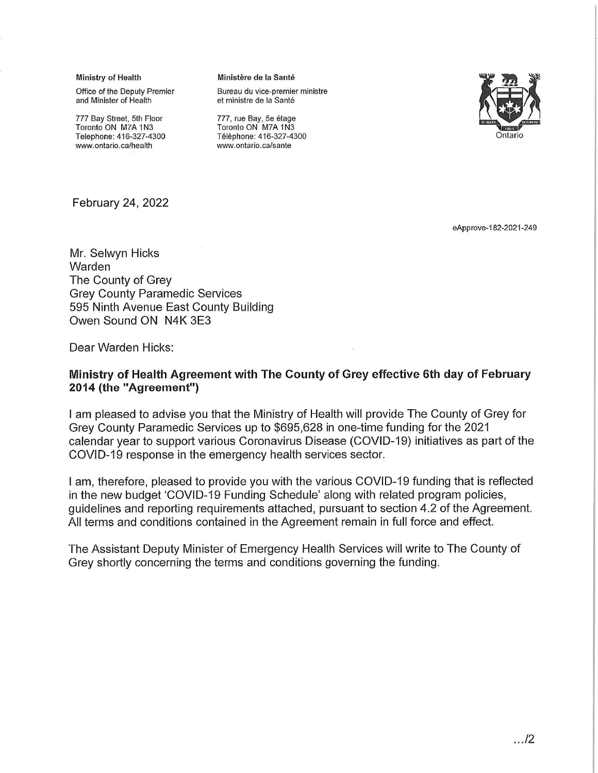Ministry of Health

Office of the Deputy Premier and Minister of Health

777 Bay Street, 5th Floor Toronto ON M7A 1N3 Telephone: 416-327-4300 www.ontario.ca/health

#### Ministère de la Santé

Bureau du vice-premier ministre et ministre de la Santé



777, rue Bay, 5e étage Toronto ON M7A 1N3 Téléphone: 416-327-4300 www.ontario.ca/sante

**February 24, 2022** 

eApprove-182-2021-249

Mr. Selwyn Hicks Warden The County of Grev **Grey County Paramedic Services** 595 Ninth Avenue East County Building Owen Sound ON N4K 3E3

Dear Warden Hicks:

#### Ministry of Health Agreement with The County of Grey effective 6th day of February 2014 (the "Agreement")

I am pleased to advise you that the Ministry of Health will provide The County of Grey for Grey County Paramedic Services up to \$695,628 in one-time funding for the 2021 calendar year to support various Coronavirus Disease (COVID-19) initiatives as part of the COVID-19 response in the emergency health services sector.

I am, therefore, pleased to provide you with the various COVID-19 funding that is reflected in the new budget 'COVID-19 Funding Schedule' along with related program policies, guidelines and reporting requirements attached, pursuant to section 4.2 of the Agreement. All terms and conditions contained in the Agreement remain in full force and effect.

The Assistant Deputy Minister of Emergency Health Services will write to The County of Grey shortly concerning the terms and conditions governing the funding.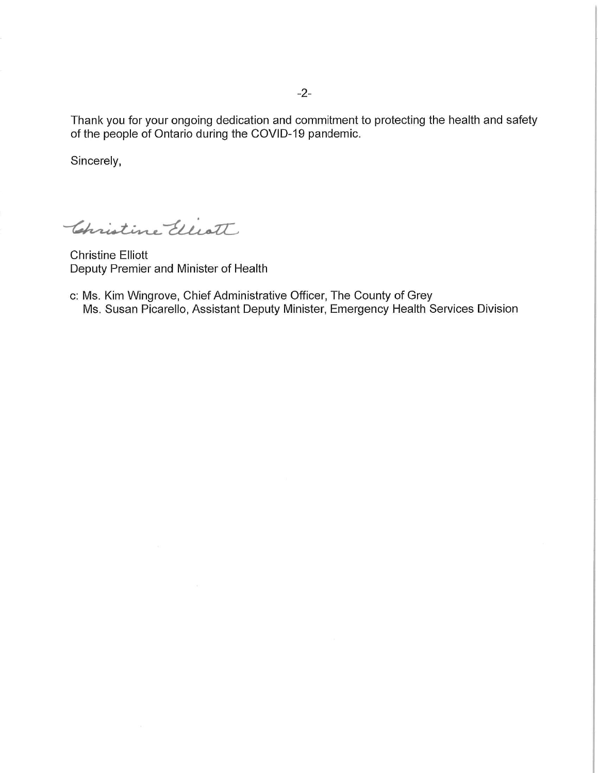Thank you for your ongoing dedication and commitment to protecting the health and safety of the people of Ontario during the COVID-19 pandemic.

Sincerely,

Christine Elliott

**Christine Elliott** Deputy Premier and Minister of Health

c: Ms. Kim Wingrove, Chief Administrative Officer, The County of Grey Ms. Susan Picarello, Assistant Deputy Minister, Emergency Health Services Division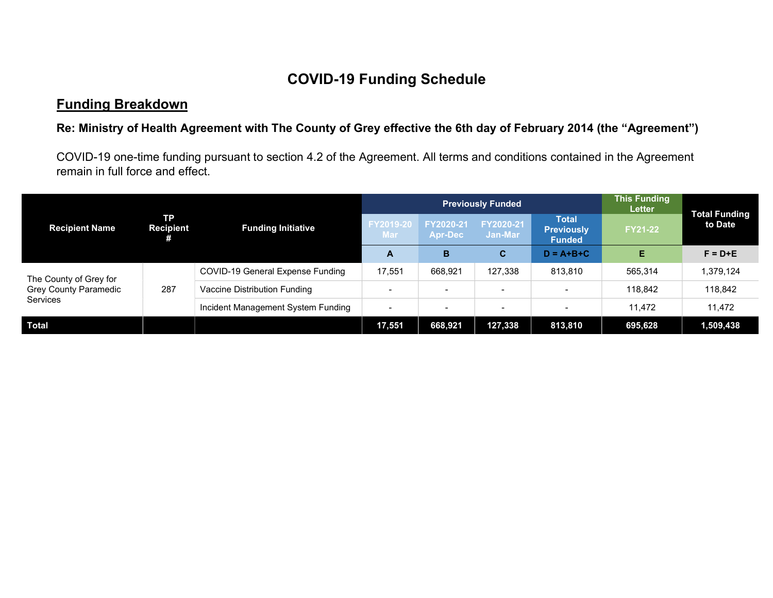# COVID-19 Funding Schedule

## Funding Breakdown

#### Re: Ministry of Health Agreement with The County of Grey effective the 6th day of February 2014 (the "Agreement")

COVID-19 one-time funding pursuant to section 4.2 of the Agreement. All terms and conditions contained in the Agreement remain in full force and effect.

|                                                                    | <b>TP</b><br><b>Recipient</b> | <b>Funding Initiative</b>          | <b>Previously Funded</b> |                             |                      |                                                    | <b>This Funding</b><br><b>Letter</b> |                                 |
|--------------------------------------------------------------------|-------------------------------|------------------------------------|--------------------------|-----------------------------|----------------------|----------------------------------------------------|--------------------------------------|---------------------------------|
| <b>Recipient Name</b>                                              |                               |                                    | <b>FY2019-20</b><br>Mar  | FY2020-21<br><b>Apr-Dec</b> | FY2020-21<br>Jan-Mar | <b>Total</b><br><b>Previously</b><br><b>Funded</b> | <b>FY21-22</b>                       | <b>Total Funding</b><br>to Date |
|                                                                    |                               |                                    | A                        | B                           | C.                   | $D = A + B + C$                                    | Е                                    | $F = D + E$                     |
| The County of Grey for<br><b>Grey County Paramedic</b><br>Services | 287                           | COVID-19 General Expense Funding   | 17,551                   | 668,921                     | 127,338              | 813.810                                            | 565,314                              | 1,379,124                       |
|                                                                    |                               | Vaccine Distribution Funding       | $\overline{\phantom{0}}$ | $\overline{\phantom{0}}$    |                      | $\overline{\phantom{0}}$                           | 118,842                              | 118,842                         |
|                                                                    |                               | Incident Management System Funding | $\overline{\phantom{0}}$ |                             |                      | $\sim$                                             | 11.472                               | 11.472                          |
| <b>Total</b>                                                       |                               |                                    | 17,551                   | 668,921                     | 127,338              | 813,810                                            | 695,628                              | 1,509,438                       |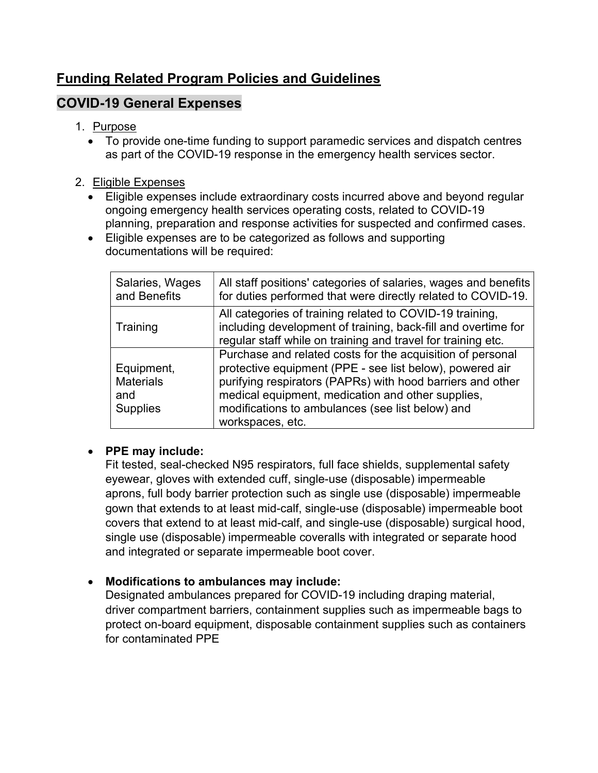## Funding Related Program Policies and Guidelines

## COVID-19 General Expenses

#### 1. Purpose

 To provide one-time funding to support paramedic services and dispatch centres as part of the COVID-19 response in the emergency health services sector.

#### 2. Eligible Expenses

- Eligible expenses include extraordinary costs incurred above and beyond regular ongoing emergency health services operating costs, related to COVID-19 planning, preparation and response activities for suspected and confirmed cases.
- Eligible expenses are to be categorized as follows and supporting documentations will be required:

| Salaries, Wages<br>and Benefits                          | All staff positions' categories of salaries, wages and benefits<br>for duties performed that were directly related to COVID-19.                                                                                                                                                                                   |
|----------------------------------------------------------|-------------------------------------------------------------------------------------------------------------------------------------------------------------------------------------------------------------------------------------------------------------------------------------------------------------------|
| Training                                                 | All categories of training related to COVID-19 training,<br>including development of training, back-fill and overtime for<br>regular staff while on training and travel for training etc.                                                                                                                         |
| Equipment,<br><b>Materials</b><br>and<br><b>Supplies</b> | Purchase and related costs for the acquisition of personal<br>protective equipment (PPE - see list below), powered air<br>purifying respirators (PAPRs) with hood barriers and other<br>medical equipment, medication and other supplies,<br>modifications to ambulances (see list below) and<br>workspaces, etc. |

### • PPE may include:

Fit tested, seal-checked N95 respirators, full face shields, supplemental safety eyewear, gloves with extended cuff, single-use (disposable) impermeable aprons, full body barrier protection such as single use (disposable) impermeable gown that extends to at least mid-calf, single-use (disposable) impermeable boot covers that extend to at least mid-calf, and single-use (disposable) surgical hood, single use (disposable) impermeable coveralls with integrated or separate hood and integrated or separate impermeable boot cover.

### Modifications to ambulances may include:

Designated ambulances prepared for COVID-19 including draping material, driver compartment barriers, containment supplies such as impermeable bags to protect on-board equipment, disposable containment supplies such as containers for contaminated PPE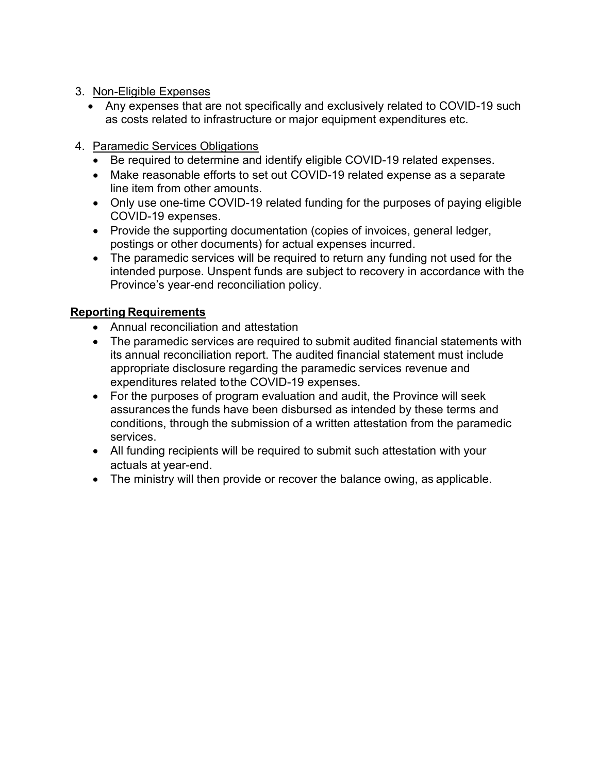- 3. Non-Eligible Expenses
	- Any expenses that are not specifically and exclusively related to COVID-19 such as costs related to infrastructure or major equipment expenditures etc.
- 4. Paramedic Services Obligations
	- Be required to determine and identify eligible COVID-19 related expenses.
	- Make reasonable efforts to set out COVID-19 related expense as a separate line item from other amounts.
	- Only use one-time COVID-19 related funding for the purposes of paying eligible COVID-19 expenses.
	- Provide the supporting documentation (copies of invoices, general ledger, postings or other documents) for actual expenses incurred.
	- The paramedic services will be required to return any funding not used for the intended purpose. Unspent funds are subject to recovery in accordance with the Province's year-end reconciliation policy.

#### Reporting Requirements

- Annual reconciliation and attestation
- The paramedic services are required to submit audited financial statements with its annual reconciliation report. The audited financial statement must include appropriate disclosure regarding the paramedic services revenue and expenditures related to the COVID-19 expenses.
- For the purposes of program evaluation and audit, the Province will seek assurances the funds have been disbursed as intended by these terms and conditions, through the submission of a written attestation from the paramedic services.
- All funding recipients will be required to submit such attestation with your actuals at year-end.
- The ministry will then provide or recover the balance owing, as applicable.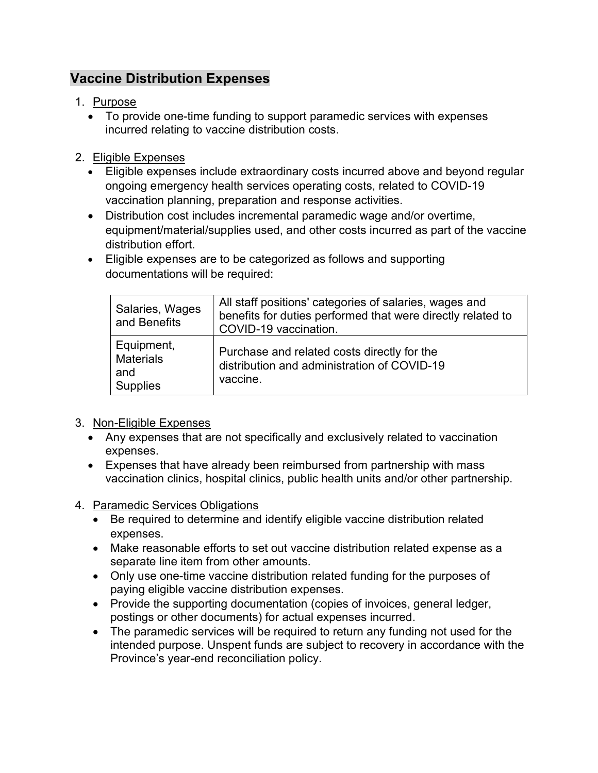## Vaccine Distribution Expenses

#### 1. Purpose

 To provide one-time funding to support paramedic services with expenses incurred relating to vaccine distribution costs.

#### 2. Eligible Expenses

- Eligible expenses include extraordinary costs incurred above and beyond regular ongoing emergency health services operating costs, related to COVID-19 vaccination planning, preparation and response activities.
- Distribution cost includes incremental paramedic wage and/or overtime, equipment/material/supplies used, and other costs incurred as part of the vaccine distribution effort.
- Eligible expenses are to be categorized as follows and supporting documentations will be required:

| Salaries, Wages<br>and Benefits                          | All staff positions' categories of salaries, wages and<br>benefits for duties performed that were directly related to<br>COVID-19 vaccination. |
|----------------------------------------------------------|------------------------------------------------------------------------------------------------------------------------------------------------|
| Equipment,<br><b>Materials</b><br>and<br><b>Supplies</b> | Purchase and related costs directly for the<br>distribution and administration of COVID-19<br>vaccine.                                         |

### 3. Non-Eligible Expenses

- Any expenses that are not specifically and exclusively related to vaccination expenses.
- Expenses that have already been reimbursed from partnership with mass vaccination clinics, hospital clinics, public health units and/or other partnership.
- 4. Paramedic Services Obligations
	- Be required to determine and identify eligible vaccine distribution related expenses.
	- Make reasonable efforts to set out vaccine distribution related expense as a separate line item from other amounts.
	- Only use one-time vaccine distribution related funding for the purposes of paying eligible vaccine distribution expenses.
	- Provide the supporting documentation (copies of invoices, general ledger, postings or other documents) for actual expenses incurred.
	- The paramedic services will be required to return any funding not used for the intended purpose. Unspent funds are subject to recovery in accordance with the Province's year-end reconciliation policy.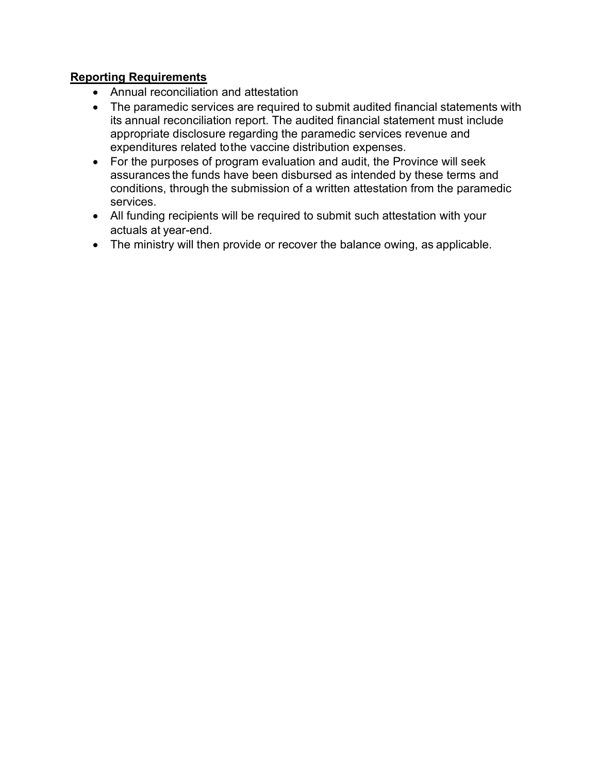#### Reporting Requirements

- Annual reconciliation and attestation
- The paramedic services are required to submit audited financial statements with its annual reconciliation report. The audited financial statement must include appropriate disclosure regarding the paramedic services revenue and expenditures related to the vaccine distribution expenses.
- For the purposes of program evaluation and audit, the Province will seek assurances the funds have been disbursed as intended by these terms and conditions, through the submission of a written attestation from the paramedic services.
- All funding recipients will be required to submit such attestation with your actuals at year-end.
- The ministry will then provide or recover the balance owing, as applicable.